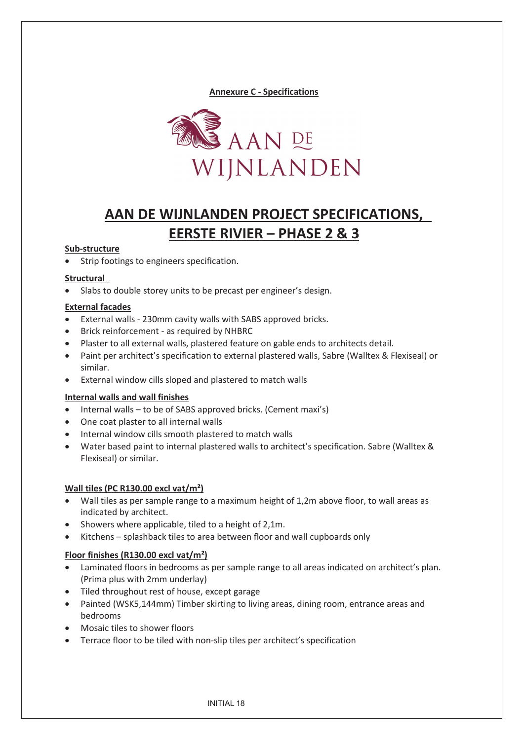**Annexure C - Specifications** 



# **AAN DE WIJNLANDEN PROJECT SPECIFICATIONS, EERSTE RIVIER – PHASE 2 & 3**

## **Sub-structure**

Strip footings to engineers specification.

#### **Structural**

• Slabs to double storey units to be precast per engineer's design.

#### **External facades**

- External walls 230mm cavity walls with SABS approved bricks.
- Brick reinforcement as required by NHBRC
- Plaster to all external walls, plastered feature on gable ends to architects detail.
- Paint per architect's specification to external plastered walls, Sabre (Walltex & Flexiseal) or similar.
- External window cills sloped and plastered to match walls

#### **Internal walls and wall finishes**

- $\bullet$  Internal walls to be of SABS approved bricks. (Cement maxi's)
- One coat plaster to all internal walls
- Internal window cills smooth plastered to match walls
- x Water based paint to internal plastered walls to architect's specification. Sabre (Walltex & Flexiseal) or similar.

## **Wall tiles (PC R130.00 excl vat/m²)**

- Wall tiles as per sample range to a maximum height of 1,2m above floor, to wall areas as indicated by architect.
- $\bullet$  Showers where applicable, tiled to a height of 2,1m.
- Kitchens splashback tiles to area between floor and wall cupboards only

## **Floor finishes (R130.00 excl vat/m²)**

- Laminated floors in bedrooms as per sample range to all areas indicated on architect's plan. (Prima plus with 2mm underlay)
- Tiled throughout rest of house, except garage
- Painted (WSK5,144mm) Timber skirting to living areas, dining room, entrance areas and bedrooms
- Mosaic tiles to shower floors
- Terrace floor to be tiled with non-slip tiles per architect's specification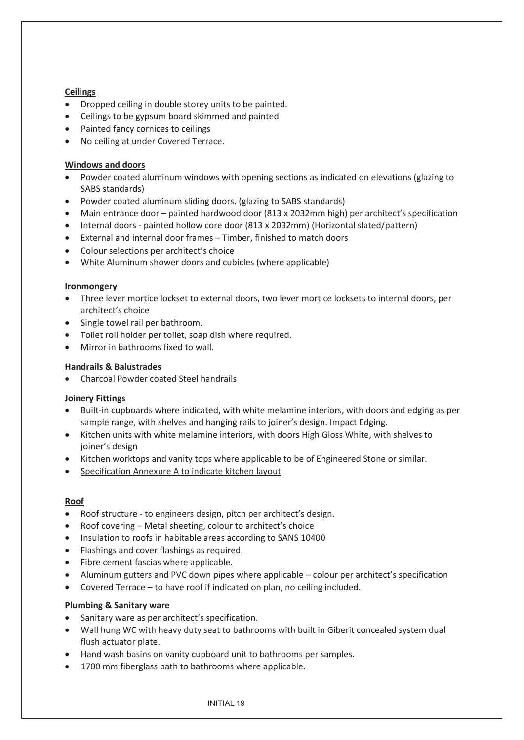## **Ceilings**

- Dropped ceiling in double storey units to be painted.
- Ceilings to be gypsum board skimmed and painted
- Painted fancy cornices to ceilings
- No ceiling at under Covered Terrace.

# **Windows and doors**

- Powder coated aluminum windows with opening sections as indicated on elevations (glazing to SABS standards)
- Powder coated aluminum sliding doors. (glazing to SABS standards)
- Main entrance door painted hardwood door (813 x 2032mm high) per architect's specification
- Internal doors painted hollow core door (813 x 2032mm) (Horizontal slated/pattern)
- **•** External and internal door frames Timber, finished to match doors
- Colour selections per architect's choice
- White Aluminum shower doors and cubicles (where applicable)

## **Ironmongery**

- Three lever mortice lockset to external doors, two lever mortice locksets to internal doors, per architect's choice
- $\bullet$  Single towel rail per bathroom.
- Toilet roll holder per toilet, soap dish where required.
- Mirror in bathrooms fixed to wall.

# **Handrails & Balustrades**

• Charcoal Powder coated Steel handrails

## **Joinery Fittings**

- Built-in cupboards where indicated, with white melamine interiors, with doors and edging as per sample range, with shelves and hanging rails to joiner's design. Impact Edging.
- Kitchen units with white melamine interiors, with doors High Gloss White, with shelves to joiner's design
- Kitchen worktops and vanity tops where applicable to be of Engineered Stone or similar.
- Specification Annexure A to indicate kitchen layout

## **Roof**

- Roof structure to engineers design, pitch per architect's design.
- $\bullet$  Roof covering Metal sheeting, colour to architect's choice
- Insulation to roofs in habitable areas according to SANS 10400
- Flashings and cover flashings as required.
- $\bullet$  Fibre cement fascias where applicable.
- Aluminum gutters and PVC down pipes where applicable colour per architect's specification
- Covered Terrace to have roof if indicated on plan, no ceiling included.

## **Plumbing & Sanitary ware**

- Sanitary ware as per architect's specification.
- Wall hung WC with heavy duty seat to bathrooms with built in Giberit concealed system dual flush actuator plate.
- Hand wash basins on vanity cupboard unit to bathrooms per samples.
- 1700 mm fiberglass bath to bathrooms where applicable.